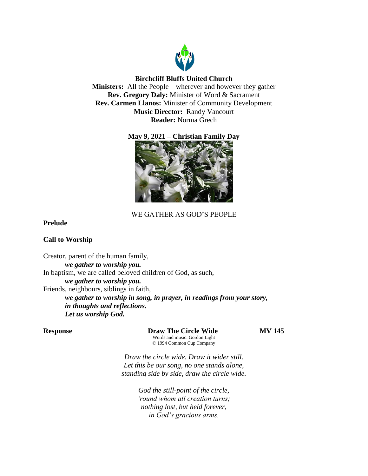

## **Birchcliff Bluffs United Church**

**Ministers:** All the People – wherever and however they gather **Rev. Gregory Daly:** Minister of Word & Sacrament **Rev. Carmen Llanos:** Minister of Community Development **Music Director:** Randy Vancourt **Reader:** Norma Grech

## **May 9, 2021 – Christian Family Day**



# WE GATHER AS GOD'S PEOPLE

# **Prelude**

# **Call to Worship**

Creator, parent of the human family, *we gather to worship you.* In baptism, we are called beloved children of God, as such, *we gather to worship you.* Friends, neighbours, siblings in faith, *we gather to worship in song, in prayer, in readings from your story, in thoughts and reflections. Let us worship God.*

**Response Draw The Circle Wide MV 145** Words and music: Gordon Light © 1994 Common Cup Company

*Draw the circle wide. Draw it wider still.*

*Let this be our song, no one stands alone, standing side by side, draw the circle wide.*

> *God the still-point of the circle, 'round whom all creation turns; nothing lost, but held forever, in God's gracious arms.*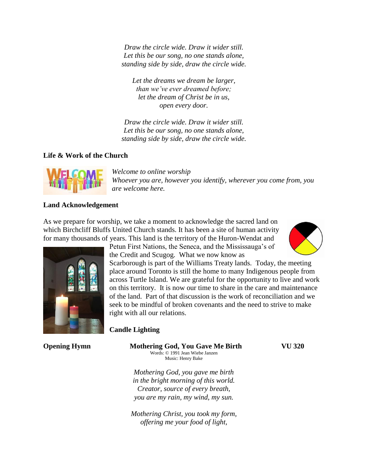*Draw the circle wide. Draw it wider still. Let this be our song, no one stands alone, standing side by side, draw the circle wide.*

*Let the dreams we dream be larger, than we've ever dreamed before; let the dream of Christ be in us, open every door.*

*Draw the circle wide. Draw it wider still. Let this be our song, no one stands alone, standing side by side, draw the circle wide.*

# **Life & Work of the Church**



*Welcome to online worship Whoever you are, however you identify, wherever you come from, you are welcome here.*

# **Land Acknowledgement**

As we prepare for worship, we take a moment to acknowledge the sacred land on which Birchcliff Bluffs United Church stands. It has been a site of human activity for many thousands of years. This land is the territory of the Huron-Wendat and





Petun First Nations, the Seneca, and the Mississauga's of the Credit and Scugog. What we now know as

Scarborough is part of the Williams Treaty lands. Today, the meeting place around Toronto is still the home to many Indigenous people from across Turtle Island. We are grateful for the opportunity to live and work on this territory. It is now our time to share in the care and maintenance of the land. Part of that discussion is the work of reconciliation and we seek to be mindful of broken covenants and the need to strive to make right with all our relations.

# **Candle Lighting**

**Opening Hymn Mothering God, You Gave Me Birth VU 320** Words: © 1991 Jean Wiebe Janzen Music: Henry Bake

*Mothering God, you gave me birth in the bright morning of this world. Creator, source of every breath, you are my rain, my wind, my sun.*

*Mothering Christ, you took my form, offering me your food of light,*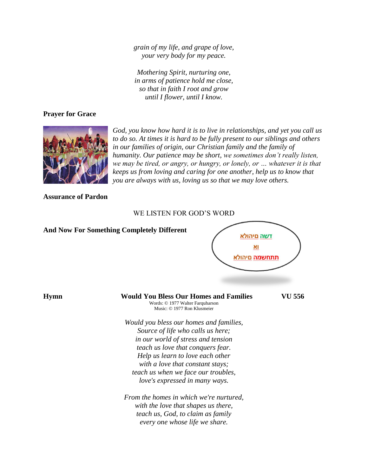*grain of my life, and grape of love, your very body for my peace.*

*Mothering Spirit, nurturing one, in arms of patience hold me close, so that in faith I root and grow until I flower, until I know.*

## **Prayer for Grace**



*God, you know how hard it is to live in relationships, and yet you call us to do so. At times it is hard to be fully present to our siblings and others in our families of origin, our Christian family and the family of humanity. Our patience may be short, we sometimes don't really listen, we may be tired, or angry, or hungry, or lonely, or … whatever it is that keeps us from loving and caring for one another, help us to know that you are always with us, loving us so that we may love others.*

### **Assurance of Pardon**

## WE LISTEN FOR GOD'S WORD

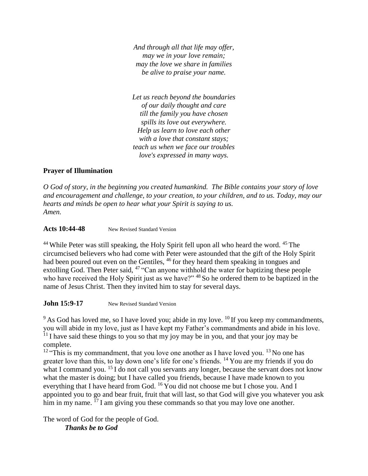*And through all that life may offer, may we in your love remain; may the love we share in families be alive to praise your name.*

*Let us reach beyond the boundaries of our daily thought and care till the family you have chosen spills its love out everywhere. Help us learn to love each other with a love that constant stays; teach us when we face our troubles love's expressed in many ways.*

# **Prayer of Illumination**

*O God of story, in the beginning you created humankind. The Bible contains your story of love and encouragement and challenge, to your creation, to your children, and to us. Today, may our hearts and minds be open to hear what your Spirit is saying to us. Amen.*

## Acts 10:44-48 New Revised Standard Version

 $44$  While Peter was still speaking, the Holy Spirit fell upon all who heard the word.  $45$  The circumcised believers who had come with Peter were astounded that the gift of the Holy Spirit had been poured out even on the Gentiles, <sup>46</sup> for they heard them speaking in tongues and extolling God. Then Peter said, <sup>47</sup> "Can anyone withhold the water for baptizing these people who have received the Holy Spirit just as we have?" <sup>48</sup> So he ordered them to be baptized in the name of Jesus Christ. Then they invited him to stay for several days.

**John 15:9-17** New Revised Standard Version

 $9$  As God has loved me, so I have loved you; abide in my love.  $10$  If you keep my commandments, you will abide in my love, just as I have kept my Father's commandments and abide in his love.  $<sup>11</sup>$  I have said these things to you so that my joy may be in you, and that your joy may be</sup> complete.

 $12$  "This is my commandment, that you love one another as I have loved you.  $13$  No one has greater love than this, to lay down one's life for one's friends. <sup>14</sup> You are my friends if you do what I command you. <sup>15</sup> I do not call you servants any longer, because the servant does not know what the master is doing; but I have called you friends, because I have made known to you everything that I have heard from God. <sup>16</sup> You did not choose me but I chose you. And I appointed you to go and bear fruit, fruit that will last, so that God will give you whatever you ask him in my name. <sup>17</sup> I am giving you these commands so that you may love one another.

The word of God for the people of God. *Thanks be to God*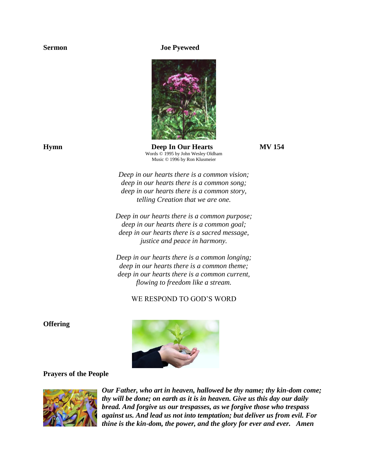## **Sermon Joe Pyeweed**



**Hymn Deep In Our Hearts MV 154** Words © 1995 by John Wesley Oldham Music © 1996 by Ron Klusmeier

*Deep in our hearts there is a common vision; deep in our hearts there is a common song; deep in our hearts there is a common story, telling Creation that we are one.*

*Deep in our hearts there is a common purpose; deep in our hearts there is a common goal; deep in our hearts there is a sacred message, justice and peace in harmony.*

*Deep in our hearts there is a common longing; deep in our hearts there is a common theme; deep in our hearts there is a common current, flowing to freedom like a stream.*

# WE RESPOND TO GOD'S WORD





### **Prayers of the People**



*Our Father, who art in heaven, hallowed be thy name; thy kin-dom come; thy will be done; on earth as it is in heaven. Give us this day our daily bread. And forgive us our trespasses, as we forgive those who trespass against us. And lead us not into temptation; but deliver us from evil. For thine is the kin-dom, the power, and the glory for ever and ever. Amen*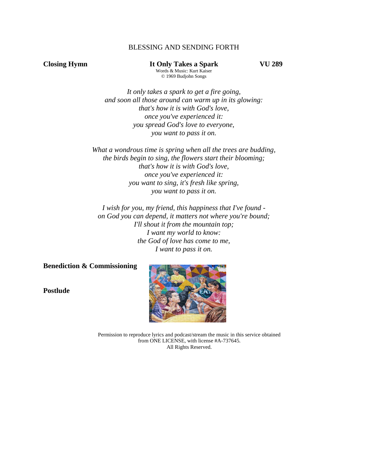## BLESSING AND SENDING FORTH

Closing Hymn It Only Takes a Spark VU 289 Words & Music: Kurt Kaiser © 1969 Budjohn Songs

*It only takes a spark to get a fire going, and soon all those around can warm up in its glowing: that's how it is with God's love, once you've experienced it: you spread God's love to everyone, you want to pass it on.*

*What a wondrous time is spring when all the trees are budding, the birds begin to sing, the flowers start their blooming; that's how it is with God's love, once you've experienced it: you want to sing, it's fresh like spring, you want to pass it on.*

*I wish for you, my friend, this happiness that I've found on God you can depend, it matters not where you're bound; I'll shout it from the mountain top; I want my world to know: the God of love has come to me, I want to pass it on.*

## **Benediction & Commissioning**

**Postlude**



Permission to reproduce lyrics and podcast/stream the music in this service obtained from ONE LICENSE, with license #A-737645. All Rights Reserved.